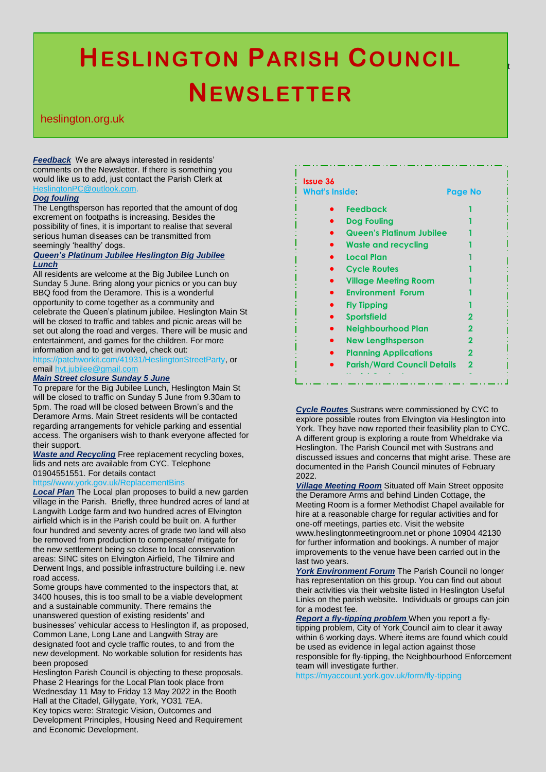# $F$ From  $C$  May  $T$  $\blacksquare$ **HESLINGTON PARISH COUNCIL NEWSLETTER**

# heslington.org.uk

*Feedback* We are always interested in residents' comments on the Newsletter. If there is something you would like us to add, just contact the Parish Clerk at lingtonPC@outlook.com

# *Dog fouling*

The Lengthsperson has reported that the amount of dog excrement on footpaths is increasing. Besides the possibility of fines, it is important to realise that several serious human diseases can be transmitted from seemingly 'healthy' dogs.

# *Queen's Platinum Jubilee Heslington Big Jubilee Lunch*

All residents are welcome at the Big Jubilee Lunch on Sunday 5 June. Bring along your picnics or you can buy BBQ food from the Deramore. This is a wonderful opportunity to come together as a community and celebrate the Queen's platinum jubilee. Heslington Main St will be closed to traffic and tables and picnic areas will be set out along the road and verges. There will be music and entertainment, and games for the children. For more information and to get involved, check out:

https://patchworkit.com/41931/HeslingtonStreetParty, or email [hvt.jubilee@gmail.com](mailto:hvt.jubilee@gmail.com)

# *Main Street closure Sunday 5 June*

To prepare for the Big Jubilee Lunch, Heslington Main St will be closed to traffic on Sunday 5 June from 9.30am to 5pm. The road will be closed between Brown's and the Deramore Arms. Main Street residents will be contacted regarding arrangements for vehicle parking and essential access. The organisers wish to thank everyone affected for their support.

*Waste and Recycling* Free replacement recycling boxes, lids and nets are available from CYC. Telephone 01904551551. For details contact

# https//www.york.gov.uk/ReplacementBins

*Local Plan* The Local plan proposes to build a new garden village in the Parish. Briefly, three hundred acres of land at Langwith Lodge farm and two hundred acres of Elvington airfield which is in the Parish could be built on. A further four hundred and seventy acres of grade two land will also be removed from production to compensate/ mitigate for the new settlement being so close to local conservation areas: SINC sites on Elvington Airfield, The Tilmire and Derwent Ings, and possible infrastructure building i.e. new road access.

Some groups have commented to the inspectors that, at 3400 houses, this is too small to be a viable development and a sustainable community. There remains the unanswered question of existing residents' and businesses' vehicular access to Heslington if, as proposed, Common Lane, Long Lane and Langwith Stray are designated foot and cycle traffic routes, to and from the new development. No workable solution for residents has been proposed

Heslington Parish Council is objecting to these proposals. Phase 2 Hearings for the Local Plan took place from Wednesday 11 May to Friday 13 May 2022 in the Booth Hall at the Citadel, Gillygate, York, YO31 7EA. Key topics were: Strategic Vision, Outcomes and Development Principles, Housing Need and Requirement and Economic Development.

| <b>Issue 36</b><br><b>What's Inside:</b> |                                    | <b>Page No</b> |
|------------------------------------------|------------------------------------|----------------|
|                                          | <b>Feedback</b>                    |                |
|                                          | <b>Dog Fouling</b>                 |                |
|                                          | <b>Queen's Platinum Jubilee</b>    |                |
|                                          | <b>Waste and recycling</b>         |                |
|                                          | <b>Local Plan</b>                  |                |
|                                          | <b>Cycle Routes</b>                |                |
|                                          | <b>Village Meeting Room</b>        |                |
|                                          | <b>Environment Forum</b>           |                |
|                                          | <b>Fly Tipping</b>                 |                |
|                                          | <b>Sportsfield</b>                 |                |
|                                          | <b>Neighbourhood Plan</b>          | 2              |
|                                          | <b>New Lengthsperson</b>           | 2              |
|                                          | <b>Planning Applications</b>       | 2              |
|                                          | <b>Parish/Ward Council Details</b> | 2              |

*Cycle Routes* Sustrans were commissioned by CYC to explore possible routes from Elvington via Heslington into York. They have now reported their feasibility plan to CYC. A different group is exploring a route from Wheldrake via Heslington. The Parish Council met with Sustrans and discussed issues and concerns that might arise. These are documented in the Parish Council minutes of February 2022.

*Village Meeting Room* Situated off Main Street opposite the Deramore Arms and behind Linden Cottage, the Meeting Room is a former Methodist Chapel available for hire at a reasonable charge for regular activities and for one-off meetings, parties etc. Visit the website www.heslingtonmeetingroom.net or phone 10904 42130 for further information and bookings. A number of major improvements to the venue have been carried out in the last two years.

*York Environment Forum* The Parish Council no longer has representation on this group. You can find out about their activities via their website listed in Heslington Useful Links on the parish website. Individuals or groups can join for a modest fee.

*Report a fly-tipping problem* When you report a flytipping problem, City of York Council aim to clear it away within 6 working days. Where items are found which could be used as evidence in legal action against those responsible for fly-tipping, the Neighbourhood Enforcement team will investigate further.

https://myaccount.york.gov.uk/form/fly-tipping